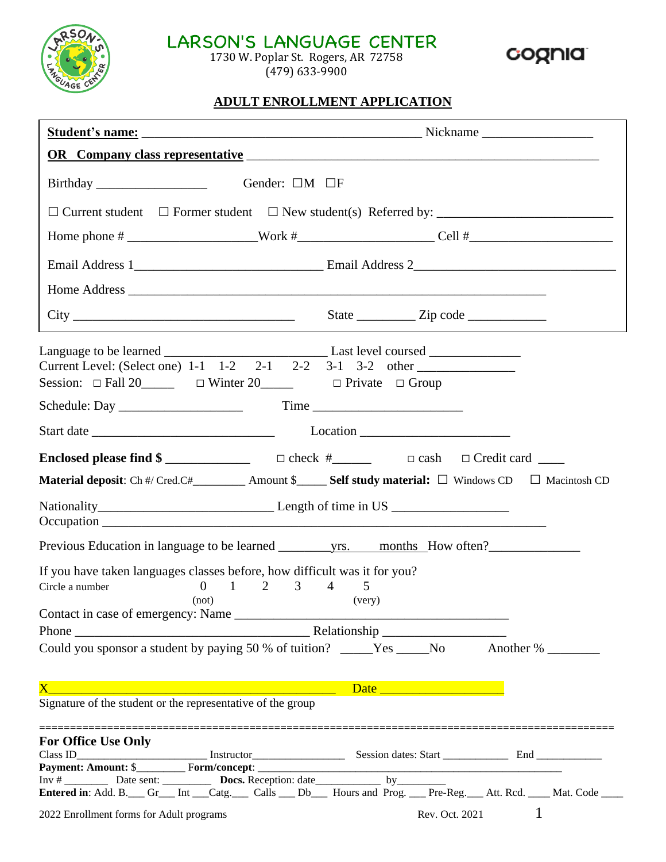

# LARSON'S LANGUAGE CENTER

1730 W. Poplar St. Rogers, AR 72758 (479) 633-9900



## **ADULT ENROLLMENT APPLICATION**

| Birthday<br>Gender: $\Box M$ $\Box F$                                                                                                                        |                                                                                                    |  |  |  |
|--------------------------------------------------------------------------------------------------------------------------------------------------------------|----------------------------------------------------------------------------------------------------|--|--|--|
|                                                                                                                                                              |                                                                                                    |  |  |  |
|                                                                                                                                                              |                                                                                                    |  |  |  |
|                                                                                                                                                              |                                                                                                    |  |  |  |
|                                                                                                                                                              |                                                                                                    |  |  |  |
|                                                                                                                                                              |                                                                                                    |  |  |  |
| Session: $\Box$ Fall 20 $\Box$ $\Box$ Winter 20 $\Box$ $\Box$ Private $\Box$ Group                                                                           |                                                                                                    |  |  |  |
|                                                                                                                                                              |                                                                                                    |  |  |  |
|                                                                                                                                                              |                                                                                                    |  |  |  |
| Material deposit: Ch #/ Cred.C#_________ Amount \$_____ Self study material: □ Windows CD □ Macintosh CD                                                     |                                                                                                    |  |  |  |
|                                                                                                                                                              |                                                                                                    |  |  |  |
|                                                                                                                                                              |                                                                                                    |  |  |  |
| If you have taken languages classes before, how difficult was it for you?<br>$0 \t 1 \t 2 \t 3 \t 4$<br>$\overline{5}$<br>Circle a number<br>(not)<br>(very) |                                                                                                    |  |  |  |
|                                                                                                                                                              |                                                                                                    |  |  |  |
| Could you sponsor a student by paying 50 % of tuition? _____Yes ____No Another % _______                                                                     |                                                                                                    |  |  |  |
| $\mathbf{X}^-$<br>Signature of the student or the representative of the group                                                                                |                                                                                                    |  |  |  |
| <b>For Office Use Only</b>                                                                                                                                   |                                                                                                    |  |  |  |
|                                                                                                                                                              |                                                                                                    |  |  |  |
|                                                                                                                                                              |                                                                                                    |  |  |  |
|                                                                                                                                                              | Entered in: Add. B. Gr_Int Catg. Calls __ Db_Flours and Prog. __Pre-Reg. Att. Rcd. __Mat. Code ___ |  |  |  |
| 2022 Enrollment forms for Adult programs                                                                                                                     | Rev. Oct. 2021 1                                                                                   |  |  |  |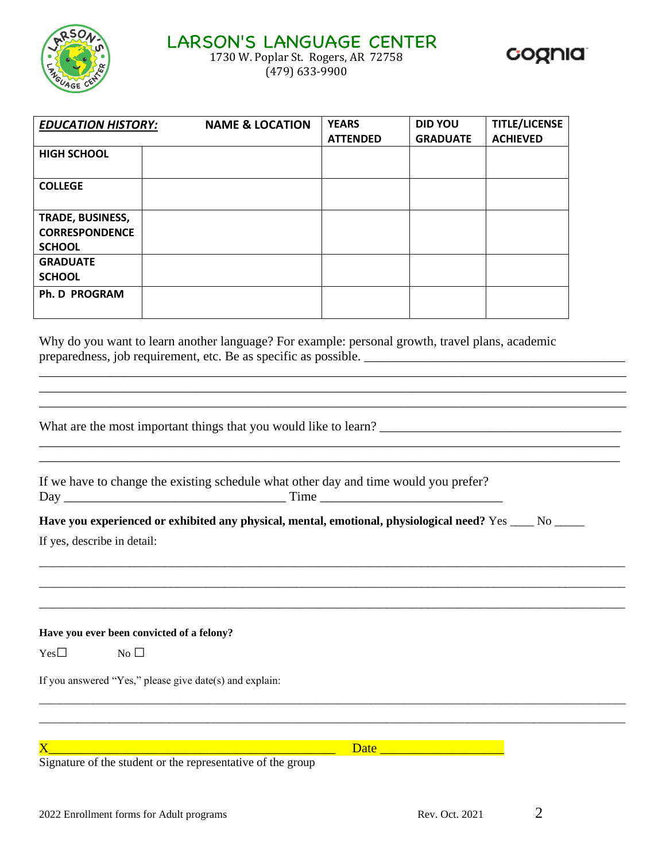

(479) 633-9900



| <b>EDUCATION HISTORY:</b>                                  | <b>NAME &amp; LOCATION</b> | <b>YEARS</b><br><b>ATTENDED</b> | <b>DID YOU</b><br><b>GRADUATE</b> | <b>TITLE/LICENSE</b><br><b>ACHIEVED</b> |
|------------------------------------------------------------|----------------------------|---------------------------------|-----------------------------------|-----------------------------------------|
| <b>HIGH SCHOOL</b>                                         |                            |                                 |                                   |                                         |
| <b>COLLEGE</b>                                             |                            |                                 |                                   |                                         |
| TRADE, BUSINESS,<br><b>CORRESPONDENCE</b><br><b>SCHOOL</b> |                            |                                 |                                   |                                         |
| <b>GRADUATE</b><br><b>SCHOOL</b>                           |                            |                                 |                                   |                                         |
| Ph. D PROGRAM                                              |                            |                                 |                                   |                                         |

Why do you want to learn another language? For example: personal growth, travel plans, academic preparedness, job requirement, etc. Be as specific as possible. \_\_\_\_\_\_\_\_\_\_\_\_\_\_\_\_\_\_\_\_\_\_\_\_\_\_\_\_\_\_\_\_\_\_\_\_\_\_\_\_

\_\_\_\_\_\_\_\_\_\_\_\_\_\_\_\_\_\_\_\_\_\_\_\_\_\_\_\_\_\_\_\_\_\_\_\_\_\_\_\_\_\_\_\_\_\_\_\_\_\_\_\_\_\_\_\_\_\_\_\_\_\_\_\_\_\_\_\_\_\_\_\_\_\_\_\_\_\_\_\_\_\_\_\_\_\_\_\_\_\_ \_\_\_\_\_\_\_\_\_\_\_\_\_\_\_\_\_\_\_\_\_\_\_\_\_\_\_\_\_\_\_\_\_\_\_\_\_\_\_\_\_\_\_\_\_\_\_\_\_\_\_\_\_\_\_\_\_\_\_\_\_\_\_\_\_\_\_\_\_\_\_\_\_\_\_\_\_\_\_\_\_\_\_\_\_\_\_\_\_\_

\_\_\_\_\_\_\_\_\_\_\_\_\_\_\_\_\_\_\_\_\_\_\_\_\_\_\_\_\_\_\_\_\_\_\_\_\_\_\_\_\_\_\_\_\_\_\_\_\_\_\_\_\_\_\_\_\_\_\_\_\_\_\_\_\_\_\_\_\_\_\_\_\_\_\_\_\_\_\_\_\_\_\_\_\_\_\_\_\_

\_\_\_\_\_\_\_\_\_\_\_\_\_\_\_\_\_\_\_\_\_\_\_\_\_\_\_\_\_\_\_\_\_\_\_\_\_\_\_\_\_\_\_\_\_\_\_\_\_\_\_\_\_\_\_\_\_\_\_\_\_\_\_\_\_\_\_\_\_\_\_\_\_\_\_\_\_\_\_\_\_\_\_\_\_\_\_\_\_\_\_\_\_\_\_\_\_\_ \_\_\_\_\_\_\_\_\_\_\_\_\_\_\_\_\_\_\_\_\_\_\_\_\_\_\_\_\_\_\_\_\_\_\_\_\_\_\_\_\_\_\_\_\_\_\_\_\_\_\_\_\_\_\_\_\_\_\_\_\_\_\_\_\_\_\_\_\_\_\_\_\_\_\_\_\_\_\_\_\_\_\_\_\_\_\_\_\_\_\_\_\_\_\_\_\_\_ \_\_\_\_\_\_\_\_\_\_\_\_\_\_\_\_\_\_\_\_\_\_\_\_\_\_\_\_\_\_\_\_\_\_\_\_\_\_\_\_\_\_\_\_\_\_\_\_\_\_\_\_\_\_\_\_\_\_\_\_\_\_\_\_\_\_\_\_\_\_\_\_\_\_\_\_\_\_\_\_\_\_\_\_\_\_\_\_\_\_\_\_\_\_\_\_\_\_

What are the most important things that you would like to learn? \_\_\_\_\_\_\_\_\_\_\_\_\_\_\_\_\_\_\_\_\_\_\_\_\_\_\_\_\_\_\_\_\_\_\_\_\_

| If we have to change the existing schedule what other day and time would you prefer? |      |
|--------------------------------------------------------------------------------------|------|
| Day                                                                                  | Time |

# Have you experienced or exhibited any physical, mental, emotional, physiological need? Yes \_\_\_\_ No \_\_\_\_\_

If yes, describe in detail:

**Have you ever been convicted of a felony?**

 $Yes \Box$  No  $\Box$ 

If you answered "Yes," please give date(s) and explain:

 $X$  and  $X$  and  $X$  are  $\overline{X}$  and  $\overline{X}$  are  $\overline{X}$  and  $\overline{X}$  are  $\overline{X}$  and  $\overline{X}$  are  $\overline{X}$  and  $\overline{X}$  are  $\overline{X}$  are  $\overline{X}$  and  $\overline{X}$  are  $\overline{X}$  and  $\overline{X}$  are  $\overline{X}$  and  $\overline{X}$  are  $\$ 

\_\_\_\_\_\_\_\_\_\_\_\_\_\_\_\_\_\_\_\_\_\_\_\_\_\_\_\_\_\_\_\_\_\_\_\_\_\_\_\_\_\_\_\_\_\_\_\_\_\_\_\_\_\_\_\_\_\_\_\_\_\_\_\_\_\_\_\_\_\_\_\_\_\_\_\_\_\_\_\_\_\_\_\_\_\_\_\_\_\_\_\_\_\_\_\_\_\_\_\_\_\_\_\_\_\_\_\_ \_\_\_\_\_\_\_\_\_\_\_\_\_\_\_\_\_\_\_\_\_\_\_\_\_\_\_\_\_\_\_\_\_\_\_\_\_\_\_\_\_\_\_\_\_\_\_\_\_\_\_\_\_\_\_\_\_\_\_\_\_\_\_\_\_\_\_\_\_\_\_\_\_\_\_\_\_\_\_\_\_\_\_\_\_\_\_\_\_\_\_\_\_\_\_\_\_\_\_\_\_\_\_\_\_\_\_\_

Signature of the student or the representative of the group